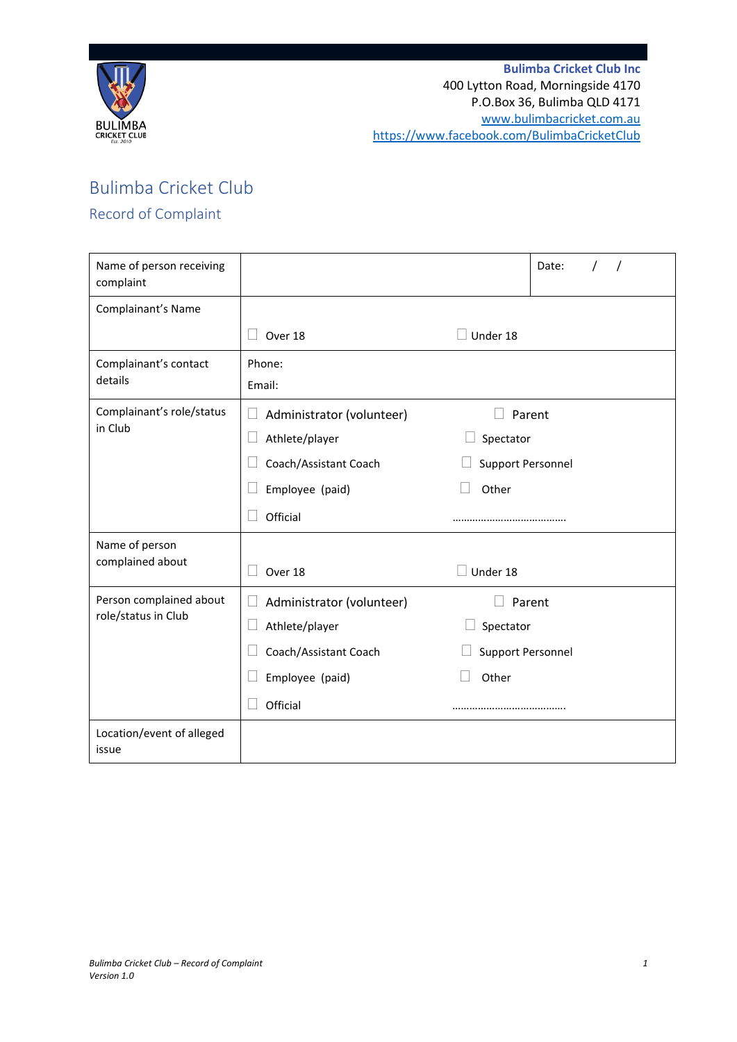

## Bulimba Cricket Club

## Record of Complaint

| Name of person receiving<br>complaint          |                                                       | Date:                    |
|------------------------------------------------|-------------------------------------------------------|--------------------------|
| Complainant's Name                             |                                                       |                          |
|                                                | Over 18                                               | Under 18                 |
| Complainant's contact<br>details               | Phone:<br>Email:                                      |                          |
| Complainant's role/status<br>in Club           | Administrator (volunteer)<br>$\Box$<br>Athlete/player | Parent<br>Spectator      |
|                                                | Coach/Assistant Coach                                 | <b>Support Personnel</b> |
|                                                | Employee (paid)                                       | Other                    |
|                                                | Official                                              |                          |
| Name of person                                 |                                                       |                          |
| complained about                               | Over 18                                               | Under 18                 |
| Person complained about<br>role/status in Club | Administrator (volunteer)                             | Parent                   |
|                                                | Athlete/player                                        | Spectator                |
|                                                | Coach/Assistant Coach                                 | <b>Support Personnel</b> |
|                                                | Employee (paid)                                       | Other                    |
|                                                | Official                                              |                          |
| Location/event of alleged<br>issue             |                                                       |                          |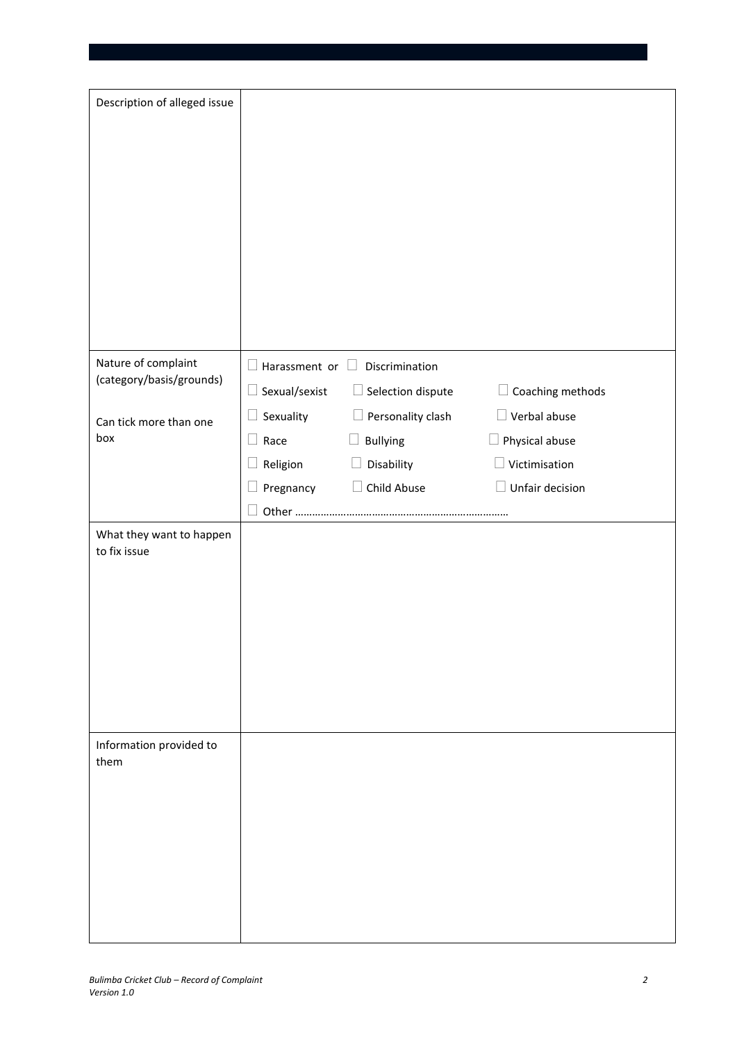| Description of alleged issue                    |                                            |                          |                                      |  |
|-------------------------------------------------|--------------------------------------------|--------------------------|--------------------------------------|--|
|                                                 |                                            |                          |                                      |  |
| Nature of complaint<br>(category/basis/grounds) | $\Box$ Harassment or $\Box$ Discrimination |                          |                                      |  |
|                                                 | $\Box$ Sexual/sexist                       | $\Box$ Selection dispute | Coaching methods                     |  |
| Can tick more than one                          | Sexuality                                  | $\Box$ Personality clash | $\Box$ Verbal abuse                  |  |
| box                                             | $\Box$ Race                                | $\Box$ Bullying          | Physical abuse                       |  |
|                                                 | Religion                                   | Disability               | $\Box$ Victimisation                 |  |
|                                                 | Pregnancy                                  | Child Abuse<br>$\Box$    | Unfair decision<br>$\vert \ \ \vert$ |  |
| What they want to happen<br>to fix issue        |                                            |                          |                                      |  |
| Information provided to<br>them                 |                                            |                          |                                      |  |